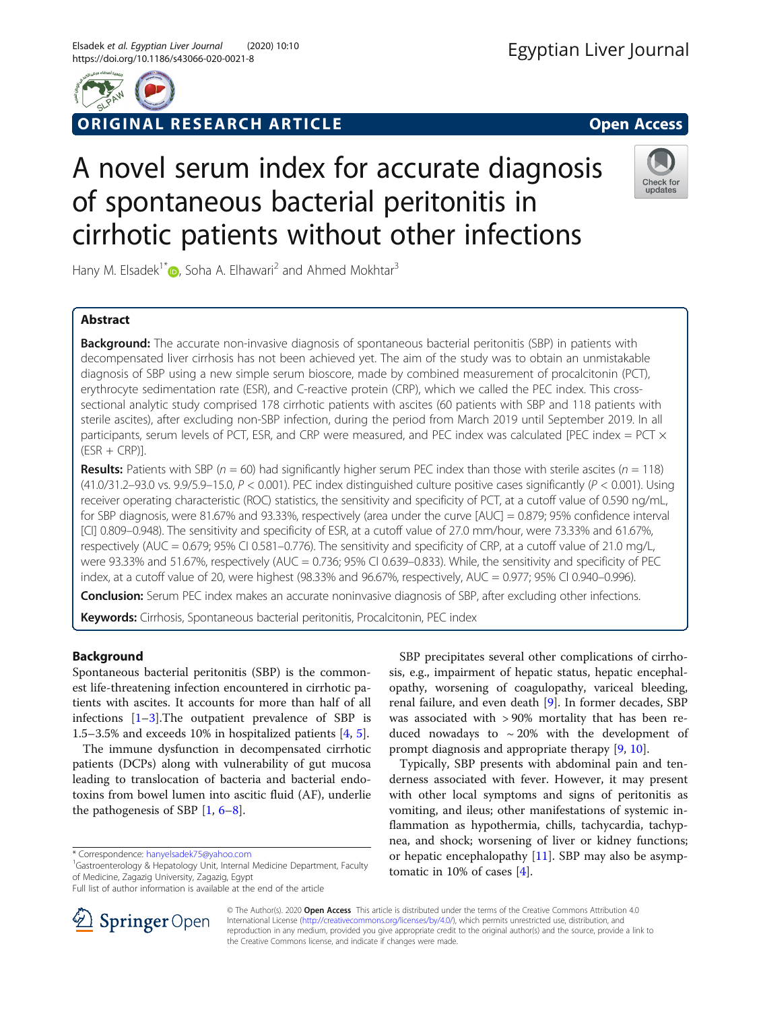

# ORIGINAL RESEARCH ARTICLE **EXECUTED SOME OPEN ACCESS**

# A novel serum index for accurate diagnosis of spontaneous bacterial peritonitis in cirrhotic patients without other infections



Hany M. Elsadek<sup>1[\\*](http://orcid.org/0000-0001-7860-6027)</sup>  $\bullet$ , Soha A. Elhawari<sup>2</sup> and Ahmed Mokhtar<sup>3</sup>

## Abstract

**Background:** The accurate non-invasive diagnosis of spontaneous bacterial peritonitis (SBP) in patients with decompensated liver cirrhosis has not been achieved yet. The aim of the study was to obtain an unmistakable diagnosis of SBP using a new simple serum bioscore, made by combined measurement of procalcitonin (PCT), erythrocyte sedimentation rate (ESR), and C-reactive protein (CRP), which we called the PEC index. This crosssectional analytic study comprised 178 cirrhotic patients with ascites (60 patients with SBP and 118 patients with sterile ascites), after excluding non-SBP infection, during the period from March 2019 until September 2019. In all participants, serum levels of PCT, ESR, and CRP were measured, and PEC index was calculated [PEC index = PCT  $\times$  $(ESR + CRP)$ ].

**Results:** Patients with SBP ( $n = 60$ ) had significantly higher serum PEC index than those with sterile ascites ( $n = 118$ ) (41.0/31.2–93.0 vs. 9.9/5.9–15.0,  $P < 0.001$ ). PEC index distinguished culture positive cases significantly ( $P < 0.001$ ). Using receiver operating characteristic (ROC) statistics, the sensitivity and specificity of PCT, at a cutoff value of 0.590 ng/mL, for SBP diagnosis, were 81.67% and 93.33%, respectively (area under the curve [AUC] = 0.879; 95% confidence interval [CI] 0.809–0.948). The sensitivity and specificity of ESR, at a cutoff value of 27.0 mm/hour, were 73.33% and 61.67%, respectively (AUC = 0.679; 95% CI 0.581–0.776). The sensitivity and specificity of CRP, at a cutoff value of 21.0 mg/L, were 93.33% and 51.67%, respectively (AUC = 0.736; 95% CI 0.639–0.833). While, the sensitivity and specificity of PEC index, at a cutoff value of 20, were highest (98.33% and 96.67%, respectively, AUC = 0.977; 95% CI 0.940–0.996).

**Conclusion:** Serum PEC index makes an accurate noninvasive diagnosis of SBP, after excluding other infections.

Keywords: Cirrhosis, Spontaneous bacterial peritonitis, Procalcitonin, PEC index

### Background

Spontaneous bacterial peritonitis (SBP) is the commonest life-threatening infection encountered in cirrhotic patients with ascites. It accounts for more than half of all infections [[1](#page-6-0)–[3\]](#page-6-0).The outpatient prevalence of SBP is 1.5–3.5% and exceeds 10% in hospitalized patients [[4,](#page-6-0) [5\]](#page-6-0).

The immune dysfunction in decompensated cirrhotic patients (DCPs) along with vulnerability of gut mucosa leading to translocation of bacteria and bacterial endotoxins from bowel lumen into ascitic fluid (AF), underlie the pathogenesis of SBP  $[1, 6-8]$  $[1, 6-8]$  $[1, 6-8]$  $[1, 6-8]$  $[1, 6-8]$ .

<sup>1</sup>Gastroenterology & Hepatology Unit, Internal Medicine Department, Faculty of Medicine, Zagazig University, Zagazig, Egypt



Typically, SBP presents with abdominal pain and tenderness associated with fever. However, it may present with other local symptoms and signs of peritonitis as vomiting, and ileus; other manifestations of systemic inflammation as hypothermia, chills, tachycardia, tachypnea, and shock; worsening of liver or kidney functions; or hepatic encephalopathy [\[11](#page-6-0)]. SBP may also be asymptomatic in 10% of cases [[4\]](#page-6-0).



© The Author(s). 2020 Open Access This article is distributed under the terms of the Creative Commons Attribution 4.0 International License ([http://creativecommons.org/licenses/by/4.0/\)](http://creativecommons.org/licenses/by/4.0/), which permits unrestricted use, distribution, and reproduction in any medium, provided you give appropriate credit to the original author(s) and the source, provide a link to the Creative Commons license, and indicate if changes were made.

<sup>\*</sup> Correspondence: [hanyelsadek75@yahoo.com](mailto:hanyelsadek75@yahoo.com) <sup>1</sup>

Full list of author information is available at the end of the article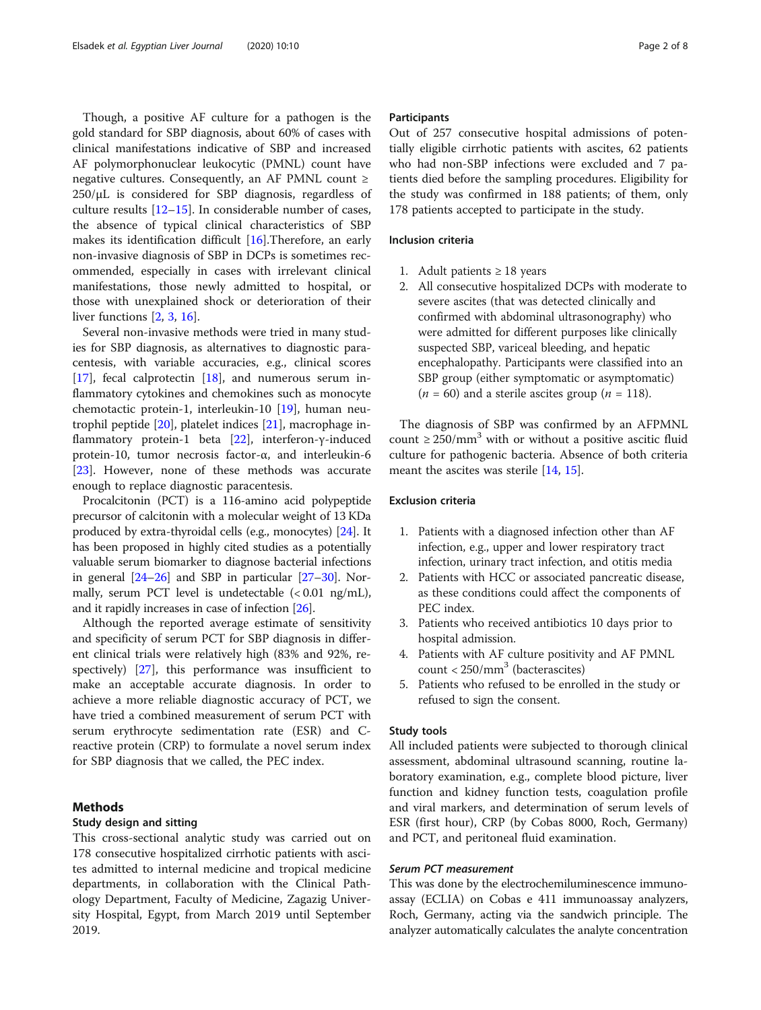Though, a positive AF culture for a pathogen is the gold standard for SBP diagnosis, about 60% of cases with clinical manifestations indicative of SBP and increased AF polymorphonuclear leukocytic (PMNL) count have negative cultures. Consequently, an AF PMNL count  $\ge$  $250/\mu$ L is considered for SBP diagnosis, regardless of culture results [[12](#page-6-0)–[15](#page-6-0)]. In considerable number of cases, the absence of typical clinical characteristics of SBP makes its identification difficult [[16\]](#page-6-0).Therefore, an early non-invasive diagnosis of SBP in DCPs is sometimes recommended, especially in cases with irrelevant clinical manifestations, those newly admitted to hospital, or those with unexplained shock or deterioration of their liver functions [\[2](#page-6-0), [3](#page-6-0), [16](#page-6-0)].

Several non-invasive methods were tried in many studies for SBP diagnosis, as alternatives to diagnostic paracentesis, with variable accuracies, e.g., clinical scores  $[17]$  $[17]$ , fecal calprotectin  $[18]$ , and numerous serum inflammatory cytokines and chemokines such as monocyte chemotactic protein-1, interleukin-10 [[19\]](#page-7-0), human neutrophil peptide [\[20](#page-7-0)], platelet indices [\[21](#page-7-0)], macrophage inflammatory protein-1 beta [\[22\]](#page-7-0), interferon-γ-induced protein-10, tumor necrosis factor-α, and interleukin-6 [[23\]](#page-7-0). However, none of these methods was accurate enough to replace diagnostic paracentesis.

Procalcitonin (PCT) is a 116-amino acid polypeptide precursor of calcitonin with a molecular weight of 13 KDa produced by extra-thyroidal cells (e.g., monocytes) [\[24\]](#page-7-0). It has been proposed in highly cited studies as a potentially valuable serum biomarker to diagnose bacterial infections in general [\[24](#page-7-0)–[26\]](#page-7-0) and SBP in particular [\[27](#page-7-0)–[30](#page-7-0)]. Normally, serum PCT level is undetectable  $(< 0.01$  ng/mL), and it rapidly increases in case of infection [\[26\]](#page-7-0).

Although the reported average estimate of sensitivity and specificity of serum PCT for SBP diagnosis in different clinical trials were relatively high (83% and 92%, respectively) [[27\]](#page-7-0), this performance was insufficient to make an acceptable accurate diagnosis. In order to achieve a more reliable diagnostic accuracy of PCT, we have tried a combined measurement of serum PCT with serum erythrocyte sedimentation rate (ESR) and Creactive protein (CRP) to formulate a novel serum index for SBP diagnosis that we called, the PEC index.

#### Methods

#### Study design and sitting

This cross-sectional analytic study was carried out on 178 consecutive hospitalized cirrhotic patients with ascites admitted to internal medicine and tropical medicine departments, in collaboration with the Clinical Pathology Department, Faculty of Medicine, Zagazig University Hospital, Egypt, from March 2019 until September 2019.

#### **Participants**

Out of 257 consecutive hospital admissions of potentially eligible cirrhotic patients with ascites, 62 patients who had non-SBP infections were excluded and 7 patients died before the sampling procedures. Eligibility for the study was confirmed in 188 patients; of them, only 178 patients accepted to participate in the study.

#### Inclusion criteria

- 1. Adult patients  $\geq 18$  years
- 2. All consecutive hospitalized DCPs with moderate to severe ascites (that was detected clinically and confirmed with abdominal ultrasonography) who were admitted for different purposes like clinically suspected SBP, variceal bleeding, and hepatic encephalopathy. Participants were classified into an SBP group (either symptomatic or asymptomatic)  $(n = 60)$  and a sterile ascites group  $(n = 118)$ .

The diagnosis of SBP was confirmed by an AFPMNL count  $\geq$  250/mm<sup>3</sup> with or without a positive ascitic fluid culture for pathogenic bacteria. Absence of both criteria meant the ascites was sterile [\[14,](#page-6-0) [15\]](#page-6-0).

#### Exclusion criteria

- 1. Patients with a diagnosed infection other than AF infection, e.g., upper and lower respiratory tract infection, urinary tract infection, and otitis media
- 2. Patients with HCC or associated pancreatic disease, as these conditions could affect the components of PEC index.
- 3. Patients who received antibiotics 10 days prior to hospital admission.
- 4. Patients with AF culture positivity and AF PMNL count  $<$  250/mm<sup>3</sup> (bacterascites)
- 5. Patients who refused to be enrolled in the study or refused to sign the consent.

#### Study tools

All included patients were subjected to thorough clinical assessment, abdominal ultrasound scanning, routine laboratory examination, e.g., complete blood picture, liver function and kidney function tests, coagulation profile and viral markers, and determination of serum levels of ESR (first hour), CRP (by Cobas 8000, Roch, Germany) and PCT, and peritoneal fluid examination.

#### Serum PCT measurement

This was done by the electrochemiluminescence immunoassay (ECLIA) on Cobas e 411 immunoassay analyzers, Roch, Germany, acting via the sandwich principle. The analyzer automatically calculates the analyte concentration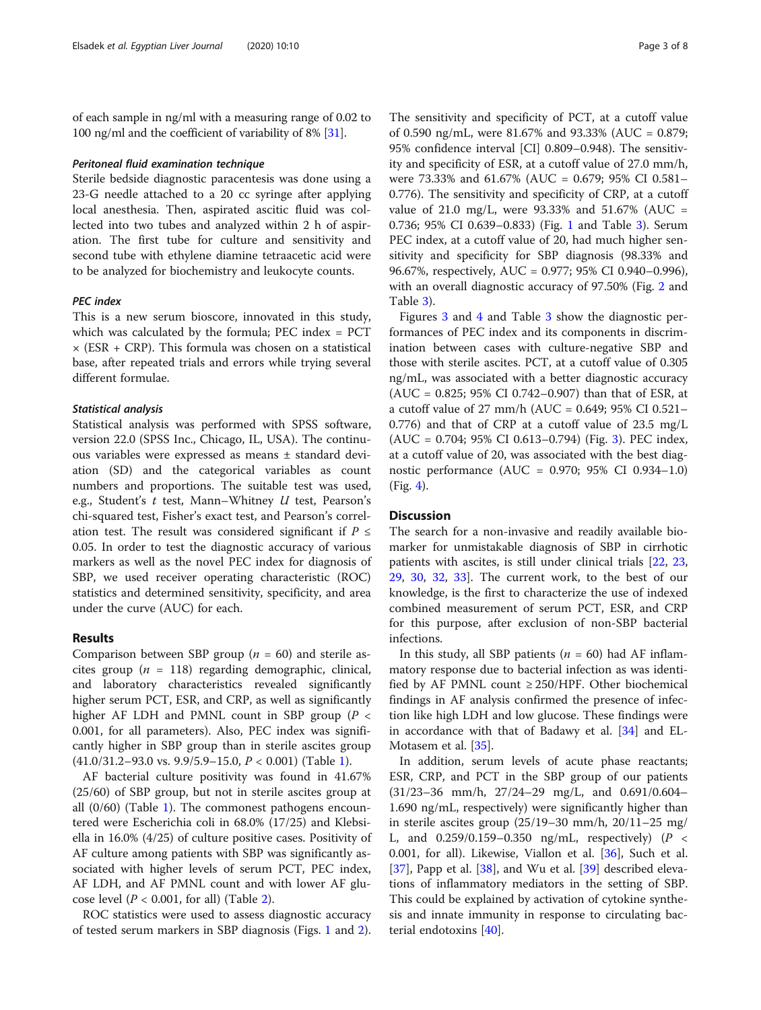of each sample in ng/ml with a measuring range of 0.02 to 100 ng/ml and the coefficient of variability of 8% [[31](#page-7-0)].

#### Peritoneal fluid examination technique

Sterile bedside diagnostic paracentesis was done using a 23-G needle attached to a 20 cc syringe after applying local anesthesia. Then, aspirated ascitic fluid was collected into two tubes and analyzed within 2 h of aspiration. The first tube for culture and sensitivity and second tube with ethylene diamine tetraacetic acid were to be analyzed for biochemistry and leukocyte counts.

#### PEC index

This is a new serum bioscore, innovated in this study, which was calculated by the formula; PEC index = PCT  $\times$  (ESR + CRP). This formula was chosen on a statistical base, after repeated trials and errors while trying several different formulae.

#### Statistical analysis

Statistical analysis was performed with SPSS software, version 22.0 (SPSS Inc., Chicago, IL, USA). The continuous variables were expressed as means ± standard deviation (SD) and the categorical variables as count numbers and proportions. The suitable test was used, e.g., Student's t test, Mann–Whitney U test, Pearson's chi-squared test, Fisher's exact test, and Pearson's correlation test. The result was considered significant if  $P \leq$ 0.05. In order to test the diagnostic accuracy of various markers as well as the novel PEC index for diagnosis of SBP, we used receiver operating characteristic (ROC) statistics and determined sensitivity, specificity, and area under the curve (AUC) for each.

#### Results

Comparison between SBP group ( $n = 60$ ) and sterile ascites group ( $n = 118$ ) regarding demographic, clinical, and laboratory characteristics revealed significantly higher serum PCT, ESR, and CRP, as well as significantly higher AF LDH and PMNL count in SBP group ( $P <$ 0.001, for all parameters). Also, PEC index was significantly higher in SBP group than in sterile ascites group  $(41.0/31.2-93.0 \text{ vs. } 9.9/5.9-15.0, P < 0.001)$  $(41.0/31.2-93.0 \text{ vs. } 9.9/5.9-15.0, P < 0.001)$  $(41.0/31.2-93.0 \text{ vs. } 9.9/5.9-15.0, P < 0.001)$  (Table 1).

AF bacterial culture positivity was found in 41.67% (25/60) of SBP group, but not in sterile ascites group at all  $(0/60)$  (Table [1](#page-3-0)). The commonest pathogens encountered were Escherichia coli in 68.0% (17/25) and Klebsiella in 16.0% (4/25) of culture positive cases. Positivity of AF culture among patients with SBP was significantly associated with higher levels of serum PCT, PEC index, AF LDH, and AF PMNL count and with lower AF glucose level  $(P < 0.001$ , for all) (Table [2\)](#page-4-0).

ROC statistics were used to assess diagnostic accuracy of tested serum markers in SBP diagnosis (Figs. [1](#page-4-0) and [2](#page-4-0)).

The sensitivity and specificity of PCT, at a cutoff value of 0.590 ng/mL, were 81.67% and 93.33% (AUC = 0.879; 95% confidence interval [CI] 0.809–0.948). The sensitivity and specificity of ESR, at a cutoff value of 27.0 mm/h, were 73.33% and 61.67% (AUC = 0.679; 95% CI 0.581– 0.776). The sensitivity and specificity of CRP, at a cutoff value of 21.0 mg/L, were 93.33% and 51.67% (AUC = 0.736; 95% CI 0.639–0.833) (Fig. [1](#page-4-0) and Table [3\)](#page-5-0). Serum PEC index, at a cutoff value of 20, had much higher sensitivity and specificity for SBP diagnosis (98.33% and 96.67%, respectively, AUC = 0.977; 95% CI 0.940–0.996), with an overall diagnostic accuracy of 97.50% (Fig. [2](#page-4-0) and Table [3\)](#page-5-0).

Figures [3](#page-5-0) and [4](#page-5-0) and Table [3](#page-5-0) show the diagnostic performances of PEC index and its components in discrimination between cases with culture-negative SBP and those with sterile ascites. PCT, at a cutoff value of 0.305 ng/mL, was associated with a better diagnostic accuracy (AUC = 0.825; 95% CI 0.742–0.907) than that of ESR, at a cutoff value of 27 mm/h (AUC = 0.649; 95% CI 0.521– 0.776) and that of CRP at a cutoff value of 23.5 mg/L (AUC = 0.704; 95% CI 0.613–0.794) (Fig. [3](#page-5-0)). PEC index, at a cutoff value of 20, was associated with the best diagnostic performance (AUC = 0.970; 95% CI 0.934–1.0) (Fig. [4](#page-5-0)).

#### **Discussion**

The search for a non-invasive and readily available biomarker for unmistakable diagnosis of SBP in cirrhotic patients with ascites, is still under clinical trials [[22,](#page-7-0) [23](#page-7-0), [29,](#page-7-0) [30](#page-7-0), [32](#page-7-0), [33](#page-7-0)]. The current work, to the best of our knowledge, is the first to characterize the use of indexed combined measurement of serum PCT, ESR, and CRP for this purpose, after exclusion of non-SBP bacterial infections.

In this study, all SBP patients ( $n = 60$ ) had AF inflammatory response due to bacterial infection as was identified by AF PMNL count  $\geq$  250/HPF. Other biochemical findings in AF analysis confirmed the presence of infection like high LDH and low glucose. These findings were in accordance with that of Badawy et al. [[34\]](#page-7-0) and EL-Motasem et al. [[35](#page-7-0)].

In addition, serum levels of acute phase reactants; ESR, CRP, and PCT in the SBP group of our patients (31/23–36 mm/h, 27/24–29 mg/L, and 0.691/0.604– 1.690 ng/mL, respectively) were significantly higher than in sterile ascites group (25/19–30 mm/h, 20/11–25 mg/ L, and  $0.259/0.159-0.350$  ng/mL, respectively) (P < 0.001, for all). Likewise, Viallon et al. [\[36\]](#page-7-0), Such et al. [[37\]](#page-7-0), Papp et al. [[38\]](#page-7-0), and Wu et al. [[39\]](#page-7-0) described elevations of inflammatory mediators in the setting of SBP. This could be explained by activation of cytokine synthesis and innate immunity in response to circulating bacterial endotoxins [[40](#page-7-0)].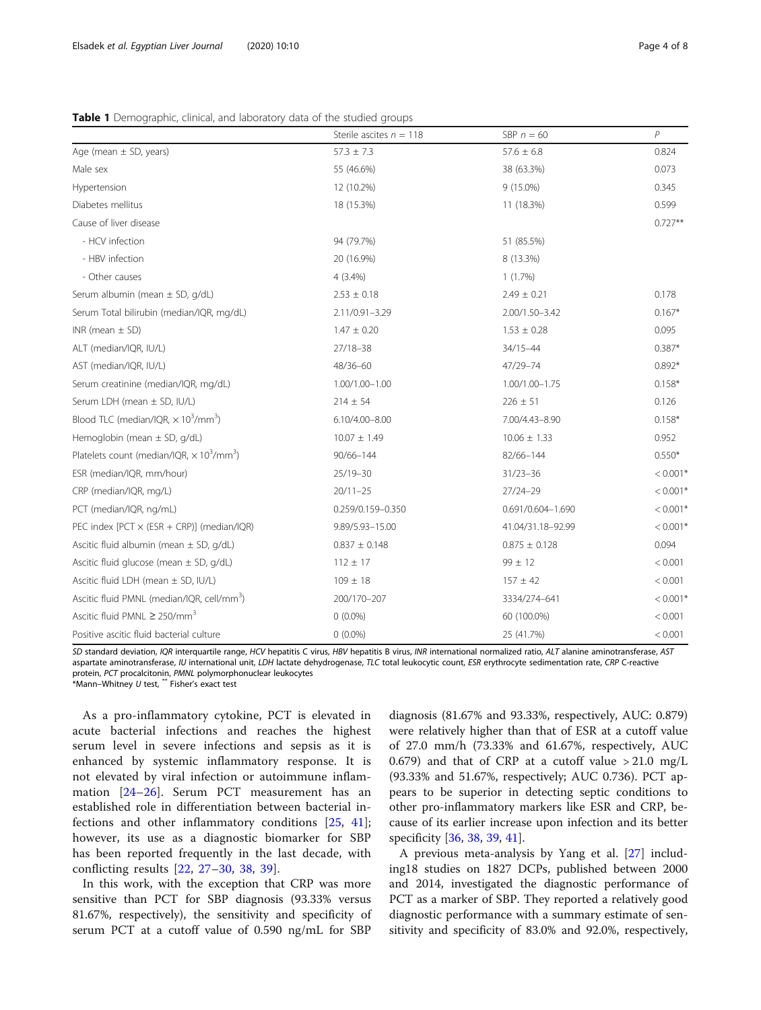<span id="page-3-0"></span>

|  |  | Table 1 Demographic, clinical, and laboratory data of the studied groups |
|--|--|--------------------------------------------------------------------------|
|  |  |                                                                          |

|                                                                          | Sterile ascites $n = 118$ | SBP $n = 60$      | P          |
|--------------------------------------------------------------------------|---------------------------|-------------------|------------|
| Age (mean $\pm$ SD, years)                                               | $57.3 \pm 7.3$            | $57.6 \pm 6.8$    | 0.824      |
| Male sex                                                                 | 55 (46.6%)                | 38 (63.3%)        | 0.073      |
| Hypertension                                                             | 12 (10.2%)                | 9 (15.0%)         | 0.345      |
| Diabetes mellitus                                                        | 18 (15.3%)                | 11 (18.3%)        | 0.599      |
| Cause of liver disease                                                   |                           |                   | $0.727**$  |
| - HCV infection                                                          | 94 (79.7%)                | 51 (85.5%)        |            |
| - HBV infection                                                          | 20 (16.9%)                | 8 (13.3%)         |            |
| - Other causes                                                           | $4(3.4\%)$                | 1(1.7%)           |            |
| Serum albumin (mean $\pm$ SD, g/dL)                                      | $2.53 \pm 0.18$           | $2.49 \pm 0.21$   | 0.178      |
| Serum Total bilirubin (median/IQR, mg/dL)                                | 2.11/0.91-3.29            | 2.00/1.50-3.42    | $0.167*$   |
| INR (mean $\pm$ SD)                                                      | $1.47 \pm 0.20$           | $1.53 \pm 0.28$   | 0.095      |
| ALT (median/IQR, IU/L)                                                   | 27/18-38                  | 34/15-44          | $0.387*$   |
| AST (median/IQR, IU/L)                                                   | 48/36-60                  | 47/29-74          | $0.892*$   |
| Serum creatinine (median/IQR, mg/dL)                                     | 1.00/1.00-1.00            | 1.00/1.00-1.75    | $0.158*$   |
| Serum LDH (mean ± SD, IU/L)                                              | $214 \pm 54$              | $226 \pm 51$      | 0.126      |
| Blood TLC (median/IQR, $\times$ 10 <sup>3</sup> /mm <sup>3</sup> )       | 6.10/4.00-8.00            | 7.00/4.43-8.90    | $0.158*$   |
| Hemoglobin (mean ± SD, g/dL)                                             | $10.07 \pm 1.49$          | $10.06 \pm 1.33$  | 0.952      |
| Platelets count (median/IQR, $\times$ 10 <sup>3</sup> /mm <sup>3</sup> ) | 90/66-144                 | 82/66-144         | $0.550*$   |
| ESR (median/IQR, mm/hour)                                                | 25/19-30                  | $31/23 - 36$      | $< 0.001*$ |
| CRP (median/IQR, mg/L)                                                   | $20/11 - 25$              | $27/24 - 29$      | $< 0.001*$ |
| PCT (median/IQR, ng/mL)                                                  | 0.259/0.159-0.350         | 0.691/0.604-1.690 | $< 0.001*$ |
| PEC index [PCT $\times$ (ESR + CRP)] (median/IQR)                        | 9.89/5.93-15.00           | 41.04/31.18-92.99 | $< 0.001*$ |
| Ascitic fluid albumin (mean $\pm$ SD, g/dL)                              | $0.837 \pm 0.148$         | $0.875 \pm 0.128$ | 0.094      |
| Ascitic fluid glucose (mean $\pm$ SD, g/dL)                              | $112 \pm 17$              | $99 \pm 12$       | < 0.001    |
| Ascitic fluid LDH (mean ± SD, IU/L)                                      | $109 \pm 18$              | $157 \pm 42$      | < 0.001    |
| Ascitic fluid PMNL (median/IQR, cell/mm <sup>3</sup> )                   | 200/170-207               | 3334/274-641      | $< 0.001*$ |
| Ascitic fluid PMNL $\geq$ 250/mm <sup>3</sup>                            | $0(0.0\%)$                | 60 (100.0%)       | < 0.001    |
| Positive ascitic fluid bacterial culture                                 | $0(0.0\%)$                | 25 (41.7%)        | < 0.001    |

SD standard deviation, IQR interquartile range, HCV hepatitis C virus, HBV hepatitis B virus, INR international normalized ratio, ALT alanine aminotransferase, AST aspartate aminotransferase, IU international unit, LDH lactate dehydrogenase, TLC total leukocytic count, ESR erythrocyte sedimentation rate, CRP C-reactive protein, PCT procalcitonin, PMNL polymorphonuclear leukocytes

\*Mann–Whitney U test, \*\* Fisher's exact test

As a pro-inflammatory cytokine, PCT is elevated in acute bacterial infections and reaches the highest serum level in severe infections and sepsis as it is enhanced by systemic inflammatory response. It is not elevated by viral infection or autoimmune inflammation [[24](#page-7-0)–[26\]](#page-7-0). Serum PCT measurement has an established role in differentiation between bacterial infections and other inflammatory conditions [\[25](#page-7-0), [41](#page-7-0)]; however, its use as a diagnostic biomarker for SBP has been reported frequently in the last decade, with conflicting results [\[22](#page-7-0), [27](#page-7-0)–[30](#page-7-0), [38,](#page-7-0) [39\]](#page-7-0).

In this work, with the exception that CRP was more sensitive than PCT for SBP diagnosis (93.33% versus 81.67%, respectively), the sensitivity and specificity of serum PCT at a cutoff value of 0.590 ng/mL for SBP diagnosis (81.67% and 93.33%, respectively, AUC: 0.879) were relatively higher than that of ESR at a cutoff value of 27.0 mm/h (73.33% and 61.67%, respectively, AUC 0.679) and that of CRP at a cutoff value  $> 21.0$  mg/L (93.33% and 51.67%, respectively; AUC 0.736). PCT appears to be superior in detecting septic conditions to other pro-inflammatory markers like ESR and CRP, because of its earlier increase upon infection and its better specificity [\[36,](#page-7-0) [38,](#page-7-0) [39,](#page-7-0) [41\]](#page-7-0).

A previous meta-analysis by Yang et al. [[27\]](#page-7-0) including18 studies on 1827 DCPs, published between 2000 and 2014, investigated the diagnostic performance of PCT as a marker of SBP. They reported a relatively good diagnostic performance with a summary estimate of sensitivity and specificity of 83.0% and 92.0%, respectively,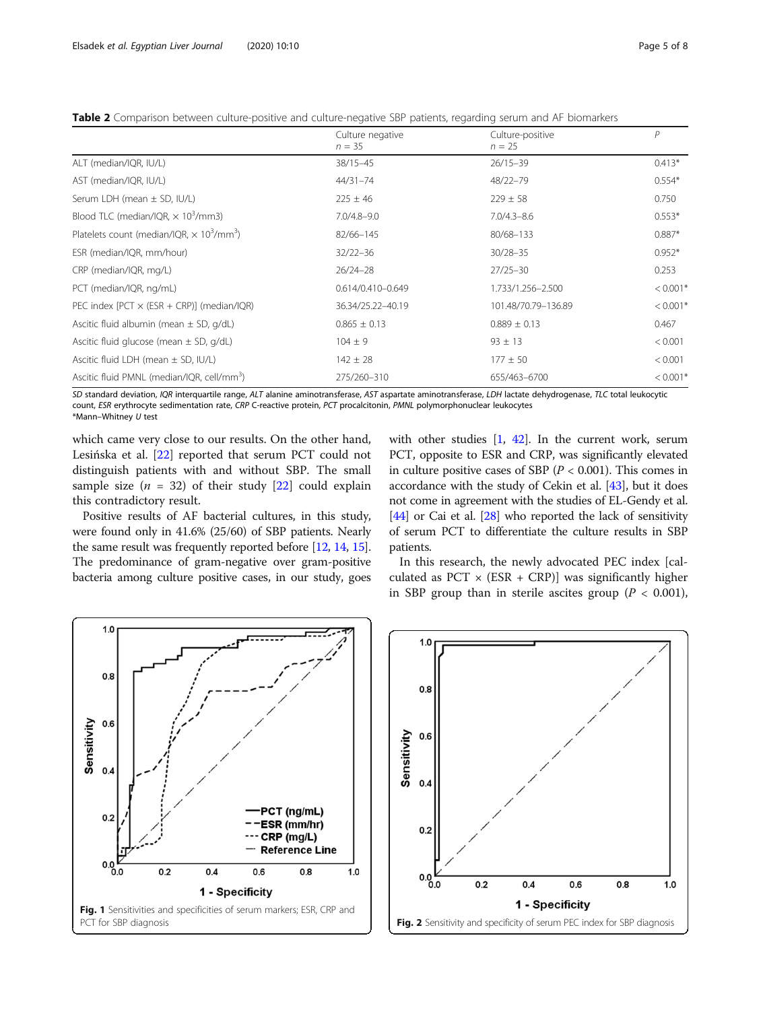<span id="page-4-0"></span>Table 2 Comparison between culture-positive and culture-negative SBP patients, regarding serum and AF biomarkers

|                                                                          | Culture negative<br>$n = 35$ | Culture-positive<br>$n = 25$ | P          |  |
|--------------------------------------------------------------------------|------------------------------|------------------------------|------------|--|
| ALT (median/IQR, IU/L)                                                   | 38/15-45                     | $26/15 - 39$                 | $0.413*$   |  |
| AST (median/IQR, IU/L)                                                   | 44/31-74                     | 48/22-79                     | $0.554*$   |  |
| Serum LDH (mean ± SD, IU/L)                                              | $225 \pm 46$                 | $229 \pm 58$                 | 0.750      |  |
| Blood TLC (median/IQR, $\times$ 10 <sup>3</sup> /mm3)                    | $7.0/4.8 - 9.0$              | $7.0/4.3 - 8.6$              | $0.553*$   |  |
| Platelets count (median/IQR, $\times$ 10 <sup>3</sup> /mm <sup>3</sup> ) | 82/66-145                    | 80/68-133                    | $0.887*$   |  |
| ESR (median/IQR, mm/hour)                                                | $32/22 - 36$                 | $30/28 - 35$                 | $0.952*$   |  |
| CRP (median/IQR, mg/L)                                                   | $26/24 - 28$                 | $27/25 - 30$                 | 0.253      |  |
| PCT (median/IQR, ng/mL)                                                  | 0.614/0.410-0.649            | 1.733/1.256-2.500            | $< 0.001*$ |  |
| PEC index $[PCT \times (ESR + CRP)]$ (median/IQR)                        | 36.34/25.22-40.19            | 101.48/70.79-136.89          | $< 0.001*$ |  |
| Ascitic fluid albumin (mean $\pm$ SD, g/dL)                              | $0.865 \pm 0.13$             | $0.889 \pm 0.13$             | 0.467      |  |
| Ascitic fluid glucose (mean $\pm$ SD, g/dL)                              | $104 \pm 9$                  | $93 \pm 13$                  | < 0.001    |  |
| Ascitic fluid LDH (mean $\pm$ SD, IU/L)                                  | $142 \pm 28$                 | $177 \pm 50$                 | < 0.001    |  |
| Ascitic fluid PMNL (median/IQR, cell/mm <sup>3</sup> )                   | 275/260-310                  | 655/463-6700                 | $< 0.001*$ |  |

SD standard deviation, IQR interquartile range, ALT alanine aminotransferase, AST aspartate aminotransferase, LDH lactate dehydrogenase, TLC total leukocytic count, ESR erythrocyte sedimentation rate, CRP C-reactive protein, PCT procalcitonin, PMNL polymorphonuclear leukocytes \*Mann–Whitney U test

which came very close to our results. On the other hand, Lesińska et al. [[22\]](#page-7-0) reported that serum PCT could not distinguish patients with and without SBP. The small sample size  $(n = 32)$  of their study [\[22](#page-7-0)] could explain this contradictory result.

Positive results of AF bacterial cultures, in this study, were found only in 41.6% (25/60) of SBP patients. Nearly the same result was frequently reported before [\[12,](#page-6-0) [14](#page-6-0), [15](#page-6-0)]. The predominance of gram-negative over gram-positive bacteria among culture positive cases, in our study, goes with other studies [\[1,](#page-6-0) [42\]](#page-7-0). In the current work, serum PCT, opposite to ESR and CRP, was significantly elevated in culture positive cases of SBP ( $P < 0.001$ ). This comes in accordance with the study of Cekin et al. [\[43\]](#page-7-0), but it does not come in agreement with the studies of EL-Gendy et al. [[44](#page-7-0)] or Cai et al. [[28](#page-7-0)] who reported the lack of sensitivity of serum PCT to differentiate the culture results in SBP patients.

In this research, the newly advocated PEC index [calculated as  $PCT \times (ESR + CRP)$ ] was significantly higher in SBP group than in sterile ascites group ( $P < 0.001$ ),



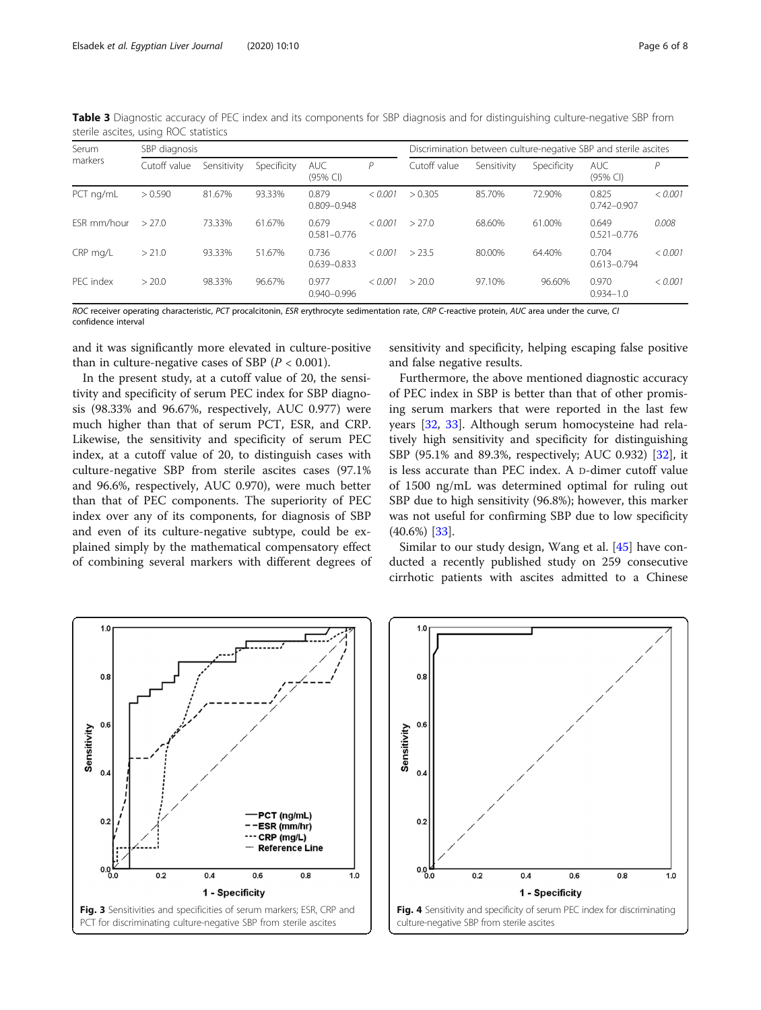| Serum<br>markers | SBP diagnosis |             |             |                          | Discrimination between culture-negative SBP and sterile ascites |              |             |             |                          |         |
|------------------|---------------|-------------|-------------|--------------------------|-----------------------------------------------------------------|--------------|-------------|-------------|--------------------------|---------|
|                  | Cutoff value  | Sensitivity | Specificity | <b>AUC</b><br>$(95%$ CI) | P                                                               | Cutoff value | Sensitivity | Specificity | <b>AUC</b><br>$(95%$ CI) | D       |
| PCT ng/mL        | > 0.590       | 81.67%      | 93.33%      | 0.879<br>$0.809 - 0.948$ | < 0.001                                                         | > 0.305      | 85.70%      | 72.90%      | 0.825<br>$0.742 - 0.907$ | < 0.001 |
| FSR mm/hour      | >27.0         | 73.33%      | 61.67%      | 0.679<br>$0.581 - 0.776$ | < 0.001                                                         | >27.0        | 68.60%      | 61.00%      | 0.649<br>$0.521 - 0.776$ | 0.008   |
| CRP mg/L         | > 21.0        | 93.33%      | 51.67%      | 0.736<br>$0.639 - 0.833$ | < 0.001                                                         | >23.5        | 80.00%      | 64.40%      | 0.704<br>$0.613 - 0.794$ | < 0.001 |
| PFC index        | > 20.0        | 98.33%      | 96.67%      | 0.977<br>$0.940 - 0.996$ | < 0.001                                                         | > 20.0       | 97.10%      | 96.60%      | 0.970<br>$0.934 - 1.0$   | < 0.001 |

<span id="page-5-0"></span>Table 3 Diagnostic accuracy of PEC index and its components for SBP diagnosis and for distinguishing culture-negative SBP from sterile ascites, using ROC statistics

ROC receiver operating characteristic, PCT procalcitonin, ESR erythrocyte sedimentation rate, CRP C-reactive protein, AUC area under the curve, CI confidence interval

and it was significantly more elevated in culture-positive than in culture-negative cases of SBP  $(P < 0.001)$ .

In the present study, at a cutoff value of 20, the sensitivity and specificity of serum PEC index for SBP diagnosis (98.33% and 96.67%, respectively, AUC 0.977) were much higher than that of serum PCT, ESR, and CRP. Likewise, the sensitivity and specificity of serum PEC index, at a cutoff value of 20, to distinguish cases with culture-negative SBP from sterile ascites cases (97.1% and 96.6%, respectively, AUC 0.970), were much better than that of PEC components. The superiority of PEC index over any of its components, for diagnosis of SBP and even of its culture-negative subtype, could be explained simply by the mathematical compensatory effect of combining several markers with different degrees of sensitivity and specificity, helping escaping false positive and false negative results.

Furthermore, the above mentioned diagnostic accuracy of PEC index in SBP is better than that of other promising serum markers that were reported in the last few years [[32,](#page-7-0) [33\]](#page-7-0). Although serum homocysteine had relatively high sensitivity and specificity for distinguishing SBP (95.1% and 89.3%, respectively; AUC 0.932) [[32\]](#page-7-0), it is less accurate than PEC index. A D-dimer cutoff value of 1500 ng/mL was determined optimal for ruling out SBP due to high sensitivity (96.8%); however, this marker was not useful for confirming SBP due to low specificity (40.6%) [[33\]](#page-7-0).

Similar to our study design, Wang et al. [\[45](#page-7-0)] have conducted a recently published study on 259 consecutive cirrhotic patients with ascites admitted to a Chinese



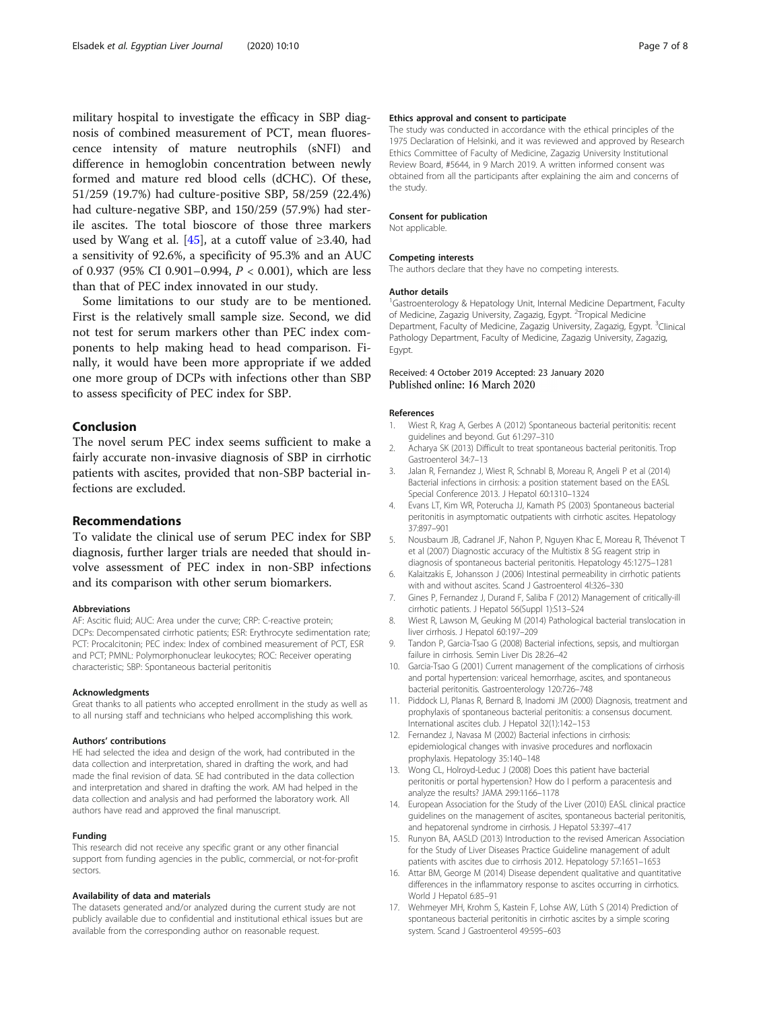<span id="page-6-0"></span>military hospital to investigate the efficacy in SBP diagnosis of combined measurement of PCT, mean fluorescence intensity of mature neutrophils (sNFI) and difference in hemoglobin concentration between newly formed and mature red blood cells (dCHC). Of these, 51/259 (19.7%) had culture-positive SBP, 58/259 (22.4%) had culture-negative SBP, and 150/259 (57.9%) had sterile ascites. The total bioscore of those three markers used by Wang et al. [[45\]](#page-7-0), at a cutoff value of ≥3.40, had a sensitivity of 92.6%, a specificity of 95.3% and an AUC of 0.937 (95% CI 0.901–0.994, P < 0.001), which are less than that of PEC index innovated in our study.

Some limitations to our study are to be mentioned. First is the relatively small sample size. Second, we did not test for serum markers other than PEC index components to help making head to head comparison. Finally, it would have been more appropriate if we added one more group of DCPs with infections other than SBP to assess specificity of PEC index for SBP.

#### Conclusion

The novel serum PEC index seems sufficient to make a fairly accurate non-invasive diagnosis of SBP in cirrhotic patients with ascites, provided that non-SBP bacterial infections are excluded.

#### Recommendations

To validate the clinical use of serum PEC index for SBP diagnosis, further larger trials are needed that should involve assessment of PEC index in non-SBP infections and its comparison with other serum biomarkers.

#### Abbreviations

AF: Ascitic fluid; AUC: Area under the curve; CRP: C-reactive protein; DCPs: Decompensated cirrhotic patients; ESR: Erythrocyte sedimentation rate; PCT: Procalcitonin; PEC index: Index of combined measurement of PCT, ESR and PCT; PMNL: Polymorphonuclear leukocytes; ROC: Receiver operating characteristic; SBP: Spontaneous bacterial peritonitis

#### Acknowledgments

Great thanks to all patients who accepted enrollment in the study as well as to all nursing staff and technicians who helped accomplishing this work.

#### Authors' contributions

HE had selected the idea and design of the work, had contributed in the data collection and interpretation, shared in drafting the work, and had made the final revision of data. SE had contributed in the data collection and interpretation and shared in drafting the work. AM had helped in the data collection and analysis and had performed the laboratory work. All authors have read and approved the final manuscript.

#### Funding

This research did not receive any specific grant or any other financial support from funding agencies in the public, commercial, or not-for-profit sectors.

#### Availability of data and materials

The datasets generated and/or analyzed during the current study are not publicly available due to confidential and institutional ethical issues but are available from the corresponding author on reasonable request.

#### Ethics approval and consent to participate

The study was conducted in accordance with the ethical principles of the 1975 Declaration of Helsinki, and it was reviewed and approved by Research Ethics Committee of Faculty of Medicine, Zagazig University Institutional Review Board, #5644, in 9 March 2019. A written informed consent was obtained from all the participants after explaining the aim and concerns of the study.

#### Consent for publication

Not applicable.

#### Competing interests

The authors declare that they have no competing interests.

#### Author details

<sup>1</sup>Gastroenterology & Hepatology Unit, Internal Medicine Department, Faculty of Medicine, Zagazig University, Zagazig, Egypt. <sup>2</sup>Tropical Medicine Department, Faculty of Medicine, Zagazig University, Zagazig, Egypt. <sup>3</sup>Clinical Pathology Department, Faculty of Medicine, Zagazig University, Zagazig, Egypt.

# Received: 4 October 2019 Accepted: 23 January 2020<br>Published online: 16 March 2020

#### References

- 1. Wiest R, Krag A, Gerbes A (2012) Spontaneous bacterial peritonitis: recent guidelines and beyond. Gut 61:297–310
- 2. Acharya SK (2013) Difficult to treat spontaneous bacterial peritonitis. Trop Gastroenterol 34:7–13
- 3. Jalan R, Fernandez J, Wiest R, Schnabl B, Moreau R, Angeli P et al (2014) Bacterial infections in cirrhosis: a position statement based on the EASL Special Conference 2013. J Hepatol 60:1310–1324
- 4. Evans LT, Kim WR, Poterucha JJ, Kamath PS (2003) Spontaneous bacterial peritonitis in asymptomatic outpatients with cirrhotic ascites. Hepatology 37:897–901
- 5. Nousbaum JB, Cadranel JF, Nahon P, Nguyen Khac E, Moreau R, Thévenot T et al (2007) Diagnostic accuracy of the Multistix 8 SG reagent strip in diagnosis of spontaneous bacterial peritonitis. Hepatology 45:1275–1281
- 6. Kalaitzakis E, Johansson J (2006) Intestinal permeability in cirrhotic patients with and without ascites. Scand J Gastroenterol 4l:326–330
- 7. Gines P, Fernandez J, Durand F, Saliba F (2012) Management of critically-ill cirrhotic patients. J Hepatol 56(Suppl 1):S13–S24
- 8. Wiest R, Lawson M, Geuking M (2014) Pathological bacterial translocation in liver cirrhosis. J Hepatol 60:197–209
- 9. Tandon P, Garcia-Tsao G (2008) Bacterial infections, sepsis, and multiorgan failure in cirrhosis. Semin Liver Dis 28:26–42
- 10. Garcia-Tsao G (2001) Current management of the complications of cirrhosis and portal hypertension: variceal hemorrhage, ascites, and spontaneous bacterial peritonitis. Gastroenterology 120:726–748
- 11. Piddock LJ, Planas R, Bernard B, Inadomi JM (2000) Diagnosis, treatment and prophylaxis of spontaneous bacterial peritonitis: a consensus document. International ascites club. J Hepatol 32(1):142–153
- 12. Fernandez J, Navasa M (2002) Bacterial infections in cirrhosis: epidemiological changes with invasive procedures and norfloxacin prophylaxis. Hepatology 35:140–148
- 13. Wong CL, Holroyd-Leduc J (2008) Does this patient have bacterial peritonitis or portal hypertension? How do I perform a paracentesis and analyze the results? JAMA 299:1166–1178
- 14. European Association for the Study of the Liver (2010) EASL clinical practice guidelines on the management of ascites, spontaneous bacterial peritonitis, and hepatorenal syndrome in cirrhosis. J Hepatol 53:397–417
- 15. Runyon BA, AASLD (2013) Introduction to the revised American Association for the Study of Liver Diseases Practice Guideline management of adult patients with ascites due to cirrhosis 2012. Hepatology 57:1651–1653
- 16. Attar BM, George M (2014) Disease dependent qualitative and quantitative differences in the inflammatory response to ascites occurring in cirrhotics. World J Hepatol 6:85–91
- 17. Wehmeyer MH, Krohm S, Kastein F, Lohse AW, Lüth S (2014) Prediction of spontaneous bacterial peritonitis in cirrhotic ascites by a simple scoring system. Scand J Gastroenterol 49:595–603